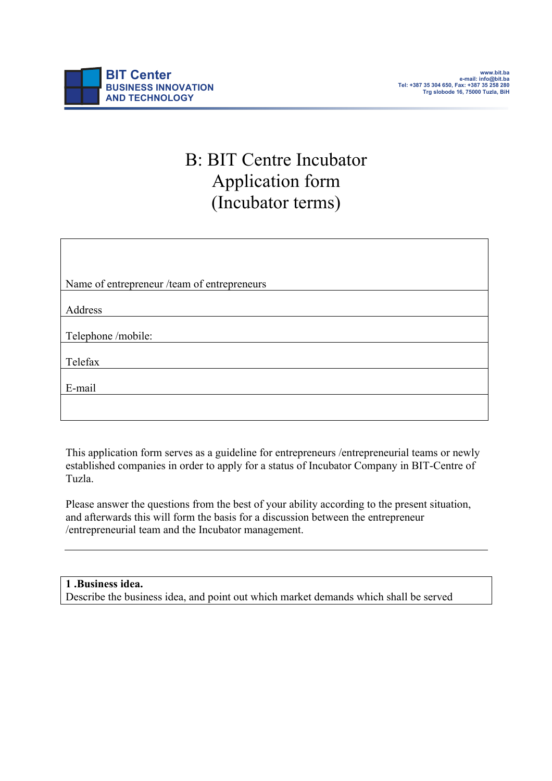# B: BIT Centre Incubator Application form (Incubator terms)

| Name of entrepreneur /team of entrepreneurs |
|---------------------------------------------|
|                                             |
| Address                                     |
|                                             |
| Telephone /mobile:                          |
|                                             |
| Telefax                                     |
|                                             |
| E-mail                                      |
|                                             |
|                                             |
|                                             |

This application form serves as a guideline for entrepreneurs /entrepreneurial teams or newly established companies in order to apply for a status of Incubator Company in BIT-Centre of Tuzla.

Please answer the questions from the best of your ability according to the present situation, and afterwards this will form the basis for a discussion between the entrepreneur /entrepreneurial team and the Incubator management.

# **1 .Business idea.**

Describe the business idea, and point out which market demands which shall be served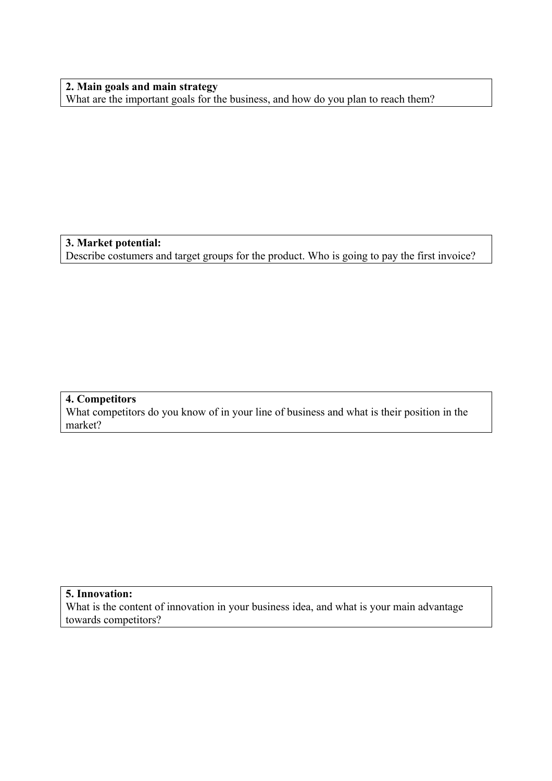**2. Main goals and main strategy** What are the important goals for the business, and how do you plan to reach them?

#### **3. Market potential:** Describe costumers and target groups for the product. Who is going to pay the first invoice?

#### **4. Competitors**

What competitors do you know of in your line of business and what is their position in the market?

## **5. Innovation:**

What is the content of innovation in your business idea, and what is your main advantage towards competitors?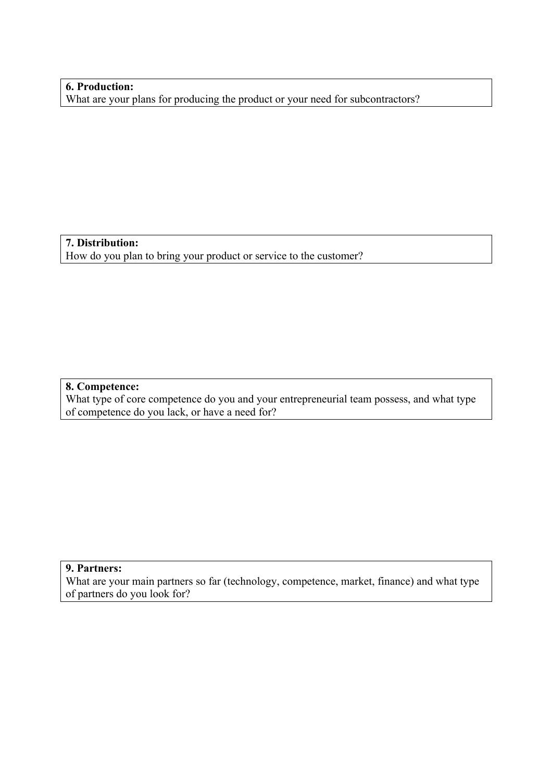## **6. Production:**

What are your plans for producing the product or your need for subcontractors?

**7. Distribution:** How do you plan to bring your product or service to the customer?

#### **8. Competence:**

What type of core competence do you and your entrepreneurial team possess, and what type of competence do you lack, or have a need for?

#### **9. Partners:**

What are your main partners so far (technology, competence, market, finance) and what type of partners do you look for?